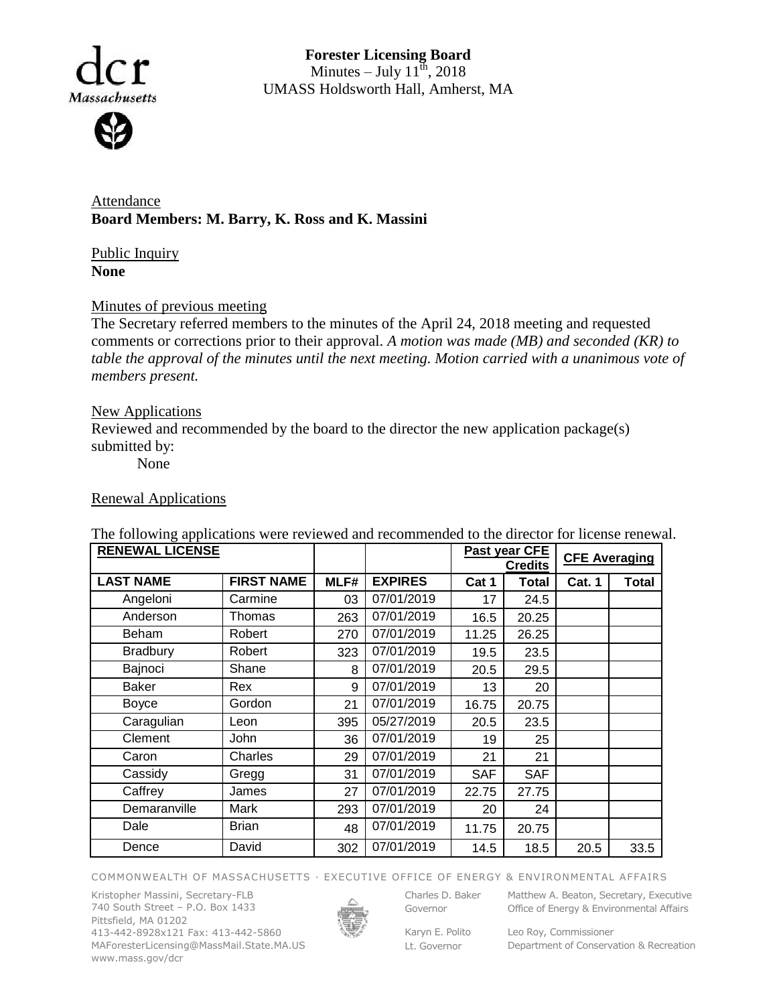

**Forester Licensing Board**  Minutes – July  $11^{\text{th}}$ , 2018 UMASS Holdsworth Hall, Amherst, MA

Attendance **Board Members: M. Barry, K. Ross and K. Massini**

Public Inquiry **None**

## Minutes of previous meeting

The Secretary referred members to the minutes of the April 24, 2018 meeting and requested comments or corrections prior to their approval. *A motion was made (MB) and seconded (KR) to table the approval of the minutes until the next meeting. Motion carried with a unanimous vote of members present.*

### New Applications

Reviewed and recommended by the board to the director the new application package(s) submitted by:

None

### Renewal Applications

| <b>RENEWAL LICENSE</b> |                   |      |                | Past year CFE<br><b>Credits</b> |              | <b>CFE Averaging</b> |       |
|------------------------|-------------------|------|----------------|---------------------------------|--------------|----------------------|-------|
| <b>LAST NAME</b>       | <b>FIRST NAME</b> | MLF# | <b>EXPIRES</b> | Cat 1                           | <b>Total</b> | <b>Cat. 1</b>        | Total |
| Angeloni               | Carmine           | 03   | 07/01/2019     | 17                              | 24.5         |                      |       |
| Anderson               | Thomas            | 263  | 07/01/2019     | 16.5                            | 20.25        |                      |       |
| Beham                  | Robert            | 270  | 07/01/2019     | 11.25                           | 26.25        |                      |       |
| Bradbury               | Robert            | 323  | 07/01/2019     | 19.5                            | 23.5         |                      |       |
| Bajnoci                | Shane             | 8    | 07/01/2019     | 20.5                            | 29.5         |                      |       |
| <b>Baker</b>           | Rex               | 9    | 07/01/2019     | 13                              | 20           |                      |       |
| <b>Boyce</b>           | Gordon            | 21   | 07/01/2019     | 16.75                           | 20.75        |                      |       |
| Caragulian             | Leon              | 395  | 05/27/2019     | 20.5                            | 23.5         |                      |       |
| Clement                | <b>John</b>       | 36   | 07/01/2019     | 19                              | 25           |                      |       |
| Caron                  | Charles           | 29   | 07/01/2019     | 21                              | 21           |                      |       |
| Cassidy                | Gregg             | 31   | 07/01/2019     | <b>SAF</b>                      | <b>SAF</b>   |                      |       |
| Caffrey                | James             | 27   | 07/01/2019     | 22.75                           | 27.75        |                      |       |
| Demaranville           | Mark              | 293  | 07/01/2019     | 20                              | 24           |                      |       |
| Dale                   | <b>Brian</b>      | 48   | 07/01/2019     | 11.75                           | 20.75        |                      |       |
| Dence                  | David             | 302  | 07/01/2019     | 14.5                            | 18.5         | 20.5                 | 33.5  |

The following applications were reviewed and recommended to the director for license renewal.

#### COMMONWEALTH OF MASSACHUSETTS · EXECUTIVE OFFICE OF ENERGY & ENVIRONMENTAL AFFAIRS

Kristopher Massini, Secretary-FLB 740 South Street – P.O. Box 1433 Pittsfield, MA 01202 413-442-8928x121 Fax: 413-442-5860 MAForesterLicensing@MassMail.State.MA.US www.mass.gov/dcr



Governor

Charles D. Baker Matthew A. Beaton, Secretary, Executive

Karyn E. Polito Lt. Governor

Office of Energy & Environmental Affairs

Leo Roy, Commissioner Department of Conservation & Recreation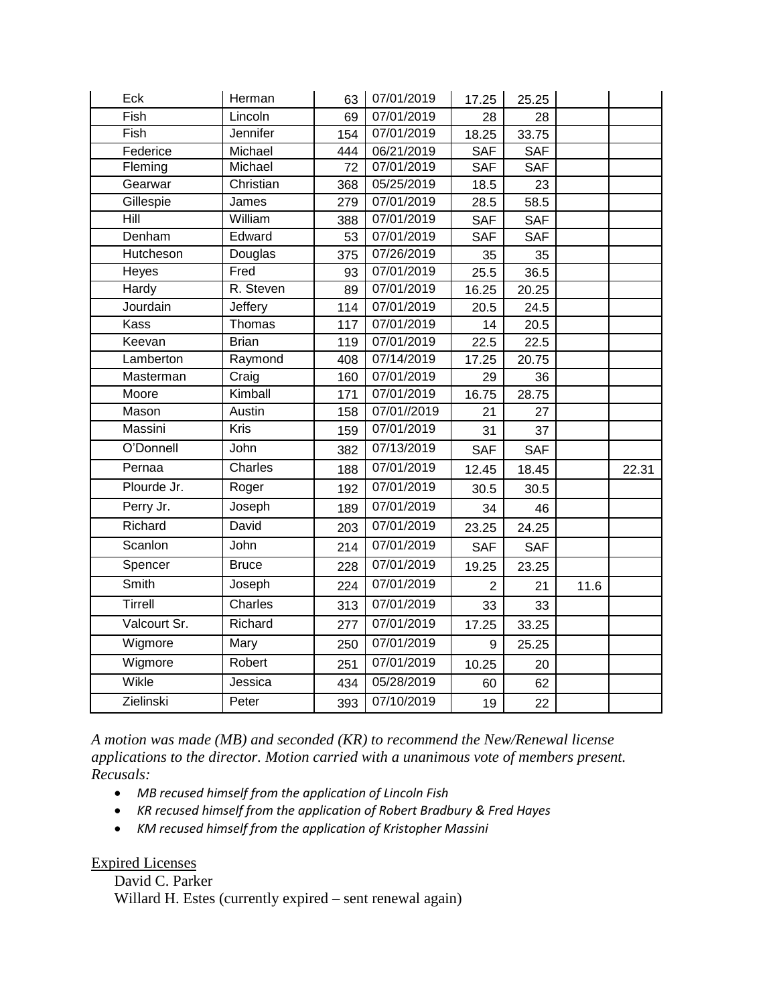| Eck          | Herman       | 63  | 07/01/2019  | 17.25          | 25.25      |      |       |
|--------------|--------------|-----|-------------|----------------|------------|------|-------|
| Fish         | Lincoln      | 69  | 07/01/2019  | 28             | 28         |      |       |
| Fish         | Jennifer     | 154 | 07/01/2019  | 18.25          | 33.75      |      |       |
| Federice     | Michael      | 444 | 06/21/2019  | <b>SAF</b>     | <b>SAF</b> |      |       |
| Fleming      | Michael      | 72  | 07/01/2019  | SAF            | <b>SAF</b> |      |       |
| Gearwar      | Christian    | 368 | 05/25/2019  | 18.5           | 23         |      |       |
| Gillespie    | James        | 279 | 07/01/2019  | 28.5           | 58.5       |      |       |
| Hill         | William      | 388 | 07/01/2019  | <b>SAF</b>     | <b>SAF</b> |      |       |
| Denham       | Edward       | 53  | 07/01/2019  | <b>SAF</b>     | <b>SAF</b> |      |       |
| Hutcheson    | Douglas      | 375 | 07/26/2019  | 35             | 35         |      |       |
| Heyes        | Fred         | 93  | 07/01/2019  | 25.5           | 36.5       |      |       |
| Hardy        | R. Steven    | 89  | 07/01/2019  | 16.25          | 20.25      |      |       |
| Jourdain     | Jeffery      | 114 | 07/01/2019  | 20.5           | 24.5       |      |       |
| <b>Kass</b>  | Thomas       | 117 | 07/01/2019  | 14             | 20.5       |      |       |
| Keevan       | <b>Brian</b> | 119 | 07/01/2019  | 22.5           | 22.5       |      |       |
| Lamberton    | Raymond      | 408 | 07/14/2019  | 17.25          | 20.75      |      |       |
| Masterman    | Craig        | 160 | 07/01/2019  | 29             | 36         |      |       |
| Moore        | Kimball      | 171 | 07/01/2019  | 16.75          | 28.75      |      |       |
| Mason        | Austin       | 158 | 07/01//2019 | 21             | 27         |      |       |
| Massini      | <b>Kris</b>  | 159 | 07/01/2019  | 31             | 37         |      |       |
| O'Donnell    | John         | 382 | 07/13/2019  | <b>SAF</b>     | <b>SAF</b> |      |       |
| Pernaa       | Charles      | 188 | 07/01/2019  | 12.45          | 18.45      |      | 22.31 |
| Plourde Jr.  | Roger        | 192 | 07/01/2019  | 30.5           | 30.5       |      |       |
| Perry Jr.    | Joseph       | 189 | 07/01/2019  | 34             | 46         |      |       |
| Richard      | David        | 203 | 07/01/2019  | 23.25          | 24.25      |      |       |
| Scanlon      | John         | 214 | 07/01/2019  | <b>SAF</b>     | <b>SAF</b> |      |       |
| Spencer      | <b>Bruce</b> | 228 | 07/01/2019  | 19.25          | 23.25      |      |       |
| Smith        | Joseph       | 224 | 07/01/2019  | $\overline{2}$ | 21         | 11.6 |       |
| Tirrell      | Charles      | 313 | 07/01/2019  | 33             | 33         |      |       |
| Valcourt Sr. | Richard      | 277 | 07/01/2019  | 17.25          | 33.25      |      |       |
| Wigmore      | Mary         | 250 | 07/01/2019  | 9              | 25.25      |      |       |
| Wigmore      | Robert       | 251 | 07/01/2019  | 10.25          | 20         |      |       |
| Wikle        | Jessica      | 434 | 05/28/2019  | 60             | 62         |      |       |
| Zielinski    | Peter        | 393 | 07/10/2019  | 19             | 22         |      |       |

*A motion was made (MB) and seconded (KR) to recommend the New/Renewal license applications to the director. Motion carried with a unanimous vote of members present. Recusals:* 

- *MB recused himself from the application of Lincoln Fish*
- *KR recused himself from the application of Robert Bradbury & Fred Hayes*
- *KM recused himself from the application of Kristopher Massini*

# Expired Licenses

David C. Parker Willard H. Estes (currently expired – sent renewal again)